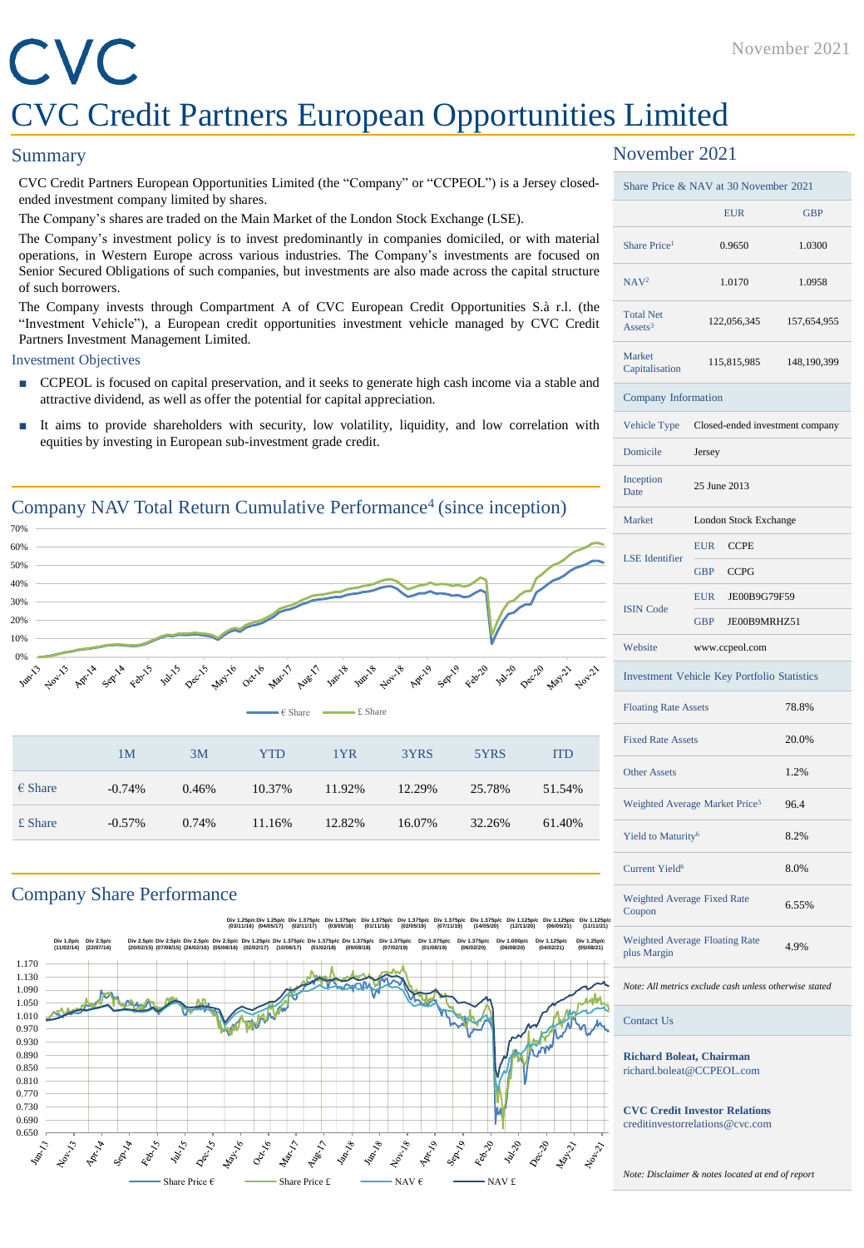#### November 2021

## CVC CVC Credit Partners European Opportunities Limited

#### **Summary**

CVC Credit Partners European Opportunities Limited (the "Company" or "CCPEOL") is a Jersey closedended investment company limited by shares.

The Company's shares are traded on the Main Market of the London Stock Exchange (LSE).

The Company's investment policy is to invest predominantly in companies domiciled, or with material operations, in Western Europe across various industries. The Company's investments are focused on Senior Secured Obligations of such companies, but investments are also made across the capital structure of such borrowers.

The Company invests through Compartment A of CVC European Credit Opportunities S.à r.l. (the "Investment Vehicle"), a European credit opportunities investment vehicle managed by CVC Credit Partners Investment Management Limited.

#### Investment Objectives

- CCPEOL is focused on capital preservation, and it seeks to generate high cash income via a stable and attractive dividend, as well as offer the potential for capital appreciation.
- It aims to provide shareholders with security, low volatility, liquidity, and low correlation with equities by investing in European sub-investment grade credit.



#### Company Share Performance



#### November 2021

| Share Price & NAV at 30 November 2021                                   |                                              |                       |  |  |  |
|-------------------------------------------------------------------------|----------------------------------------------|-----------------------|--|--|--|
|                                                                         | <b>EUR</b>                                   | <b>GBP</b>            |  |  |  |
| Share Price <sup>1</sup>                                                | 0.9650                                       | 1.0300                |  |  |  |
| NAV <sup>2</sup>                                                        | 1.0170                                       | 1.0958                |  |  |  |
| <b>Total Net</b><br>Assets <sup>3</sup>                                 | 122,056,345                                  | 157,654,955           |  |  |  |
| Market<br>Capitalisation                                                | 115,815,985                                  | 148,190,399           |  |  |  |
| Company Information                                                     |                                              |                       |  |  |  |
|                                                                         | Vehicle Type Closed-ended investment company |                       |  |  |  |
| Domicile                                                                | Jersey                                       |                       |  |  |  |
| Inception<br>Date                                                       | 25 June 2013                                 |                       |  |  |  |
| Market                                                                  |                                              | London Stock Exchange |  |  |  |
| <b>LSE</b> Identifier                                                   | EUR CCPE                                     |                       |  |  |  |
|                                                                         | GBP CCPG                                     |                       |  |  |  |
| <b>ISIN Code</b>                                                        | EUR JE00B9G79F59                             |                       |  |  |  |
|                                                                         | <b>GBP</b><br>JE00B9MRHZ51                   |                       |  |  |  |
| Website                                                                 | www.ccpeol.com                               |                       |  |  |  |
| <b>Investment Vehicle Key Portfolio Statistics</b>                      |                                              |                       |  |  |  |
| <b>Floating Rate Assets</b>                                             |                                              | 78.8%                 |  |  |  |
| <b>Fixed Rate Assets</b>                                                |                                              | 20.0%                 |  |  |  |
| <b>Other Assets</b>                                                     |                                              | 1.2%                  |  |  |  |
| Weighted Average Market Price <sup>5</sup>                              |                                              | 96.4                  |  |  |  |
| Yield to Maturity <sup>6</sup>                                          |                                              | 8.2%                  |  |  |  |
| <b>Current Yield<sup>6</sup></b>                                        |                                              | 8.0%                  |  |  |  |
| Weighted Average Fixed Rate<br>Coupon                                   | 6.55%                                        |                       |  |  |  |
| <b>Weighted Average Floating Rate</b><br>plus Margin                    | 4.9%                                         |                       |  |  |  |
| Note: All metrics exclude cash unless otherwise stated                  |                                              |                       |  |  |  |
| <b>Contact Us</b>                                                       |                                              |                       |  |  |  |
| <b>Richard Boleat, Chairman</b><br>richard.boleat@CCPEOL.com            |                                              |                       |  |  |  |
| <b>CVC Credit Investor Relations</b><br>creditinvestorrelations@cvc.com |                                              |                       |  |  |  |

*Note: Disclaimer & notes located at end of report*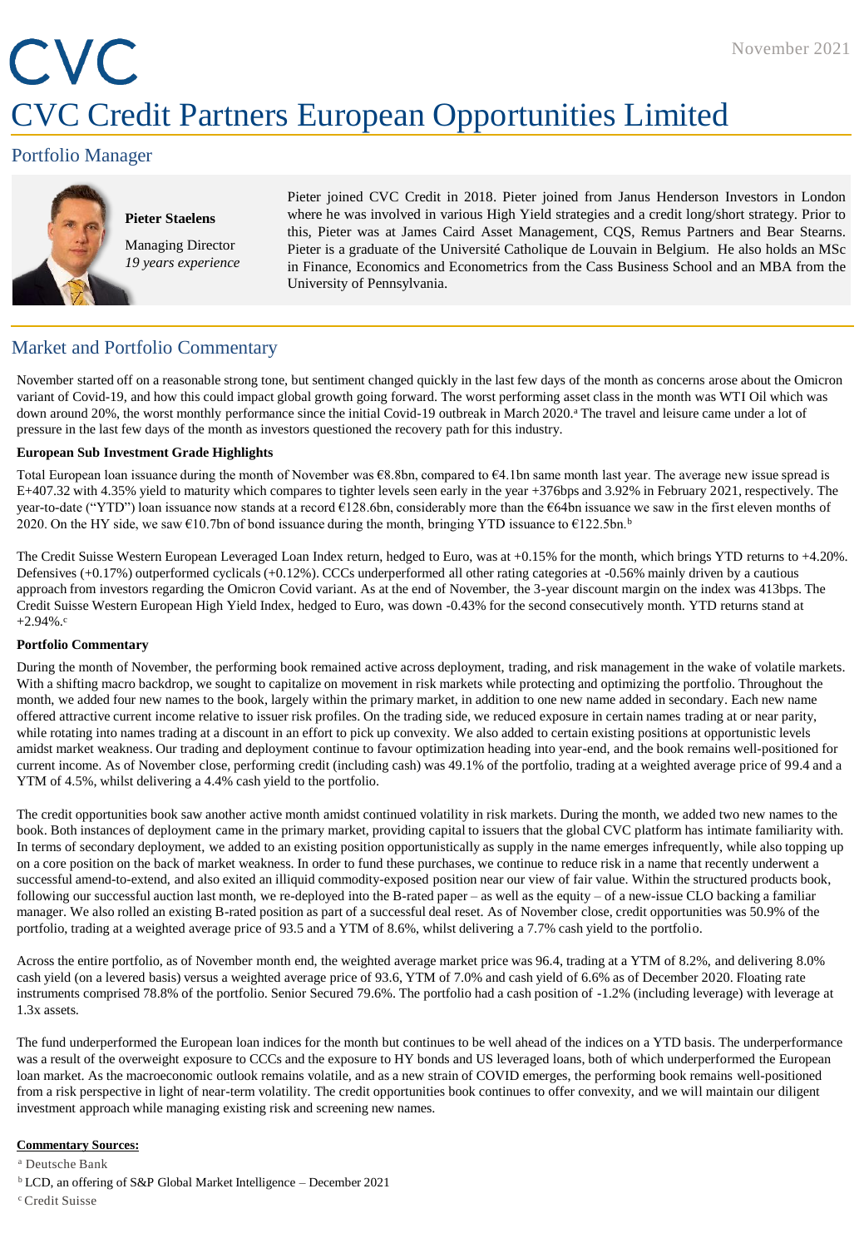## CVC CVC Credit Partners European Opportunities Limited

#### Portfolio Manager



#### **Pieter Staelens** Managing Director

*19 years experience*

Pieter joined CVC Credit in 2018. Pieter joined from Janus Henderson Investors in London where he was involved in various High Yield strategies and a credit long/short strategy. Prior to this, Pieter was at James Caird Asset Management, CQS, Remus Partners and Bear Stearns. Pieter is a graduate of the Université Catholique de Louvain in Belgium. He also holds an MSc in Finance, Economics and Econometrics from the Cass Business School and an MBA from the University of Pennsylvania.

#### Market and Portfolio Commentary

November started off on a reasonable strong tone, but sentiment changed quickly in the last few days of the month as concerns arose about the Omicron variant of Covid-19, and how this could impact global growth going forward. The worst performing asset class in the month was WTI Oil which was down around 20%, the worst monthly performance since the initial Covid-19 outbreak in March 2020.<sup>a</sup> The travel and leisure came under a lot of pressure in the last few days of the month as investors questioned the recovery path for this industry.

#### **European Sub Investment Grade Highlights**

Total European loan issuance during the month of November was €8.8bn, compared to €4.1bn same month last year. The average new issue spread is E+407.32 with 4.35% yield to maturity which compares to tighter levels seen early in the year +376bps and 3.92% in February 2021, respectively. The year-to-date ("YTD") loan issuance now stands at a record €128.6bn, considerably more than the €64bn issuance we saw in the first eleven months of 2020. On the HY side, we saw  $\epsilon$ 10.7bn of bond issuance during the month, bringing YTD issuance to  $\epsilon$ 122.5bn.<sup>b</sup>

The Credit Suisse Western European Leveraged Loan Index return, hedged to Euro, was at +0.15% for the month, which brings YTD returns to +4.20%. Defensives (+0.17%) outperformed cyclicals (+0.12%). CCCs underperformed all other rating categories at -0.56% mainly driven by a cautious approach from investors regarding the Omicron Covid variant. As at the end of November, the 3-year discount margin on the index was 413bps. The Credit Suisse Western European High Yield Index, hedged to Euro, was down -0.43% for the second consecutively month. YTD returns stand at  $+2.94\%$ .

#### **Portfolio Commentary**

During the month of November, the performing book remained active across deployment, trading, and risk management in the wake of volatile markets. With a shifting macro backdrop, we sought to capitalize on movement in risk markets while protecting and optimizing the portfolio. Throughout the month, we added four new names to the book, largely within the primary market, in addition to one new name added in secondary. Each new name offered attractive current income relative to issuer risk profiles. On the trading side, we reduced exposure in certain names trading at or near parity, while rotating into names trading at a discount in an effort to pick up convexity. We also added to certain existing positions at opportunistic levels amidst market weakness. Our trading and deployment continue to favour optimization heading into year-end, and the book remains well-positioned for current income. As of November close, performing credit (including cash) was 49.1% of the portfolio, trading at a weighted average price of 99.4 and a YTM of 4.5%, whilst delivering a 4.4% cash yield to the portfolio.

The credit opportunities book saw another active month amidst continued volatility in risk markets. During the month, we added two new names to the book. Both instances of deployment came in the primary market, providing capital to issuers that the global CVC platform has intimate familiarity with. In terms of secondary deployment, we added to an existing position opportunistically as supply in the name emerges infrequently, while also topping up on a core position on the back of market weakness. In order to fund these purchases, we continue to reduce risk in a name that recently underwent a successful amend-to-extend, and also exited an illiquid commodity-exposed position near our view of fair value. Within the structured products book, following our successful auction last month, we re-deployed into the B-rated paper – as well as the equity – of a new-issue CLO backing a familiar manager. We also rolled an existing B-rated position as part of a successful deal reset. As of November close, credit opportunities was 50.9% of the portfolio, trading at a weighted average price of 93.5 and a YTM of 8.6%, whilst delivering a 7.7% cash yield to the portfolio.

Across the entire portfolio, as of November month end, the weighted average market price was 96.4, trading at a YTM of 8.2%, and delivering 8.0% cash yield (on a levered basis) versus a weighted average price of 93.6, YTM of 7.0% and cash yield of 6.6% as of December 2020. Floating rate instruments comprised 78.8% of the portfolio. Senior Secured 79.6%. The portfolio had a cash position of -1.2% (including leverage) with leverage at 1.3x assets.

The fund underperformed the European loan indices for the month but continues to be well ahead of the indices on a YTD basis. The underperformance was a result of the overweight exposure to CCCs and the exposure to HY bonds and US leveraged loans, both of which underperformed the European loan market. As the macroeconomic outlook remains volatile, and as a new strain of COVID emerges, the performing book remains well-positioned from a risk perspective in light of near-term volatility. The credit opportunities book continues to offer convexity, and we will maintain our diligent investment approach while managing existing risk and screening new names.

#### **Commentary Sources:**

<sup>a</sup> Deutsche Bank

- <sup>b</sup>LCD, an offering of S&P Global Market Intelligence December 2021
- <sup>c</sup>Credit Suisse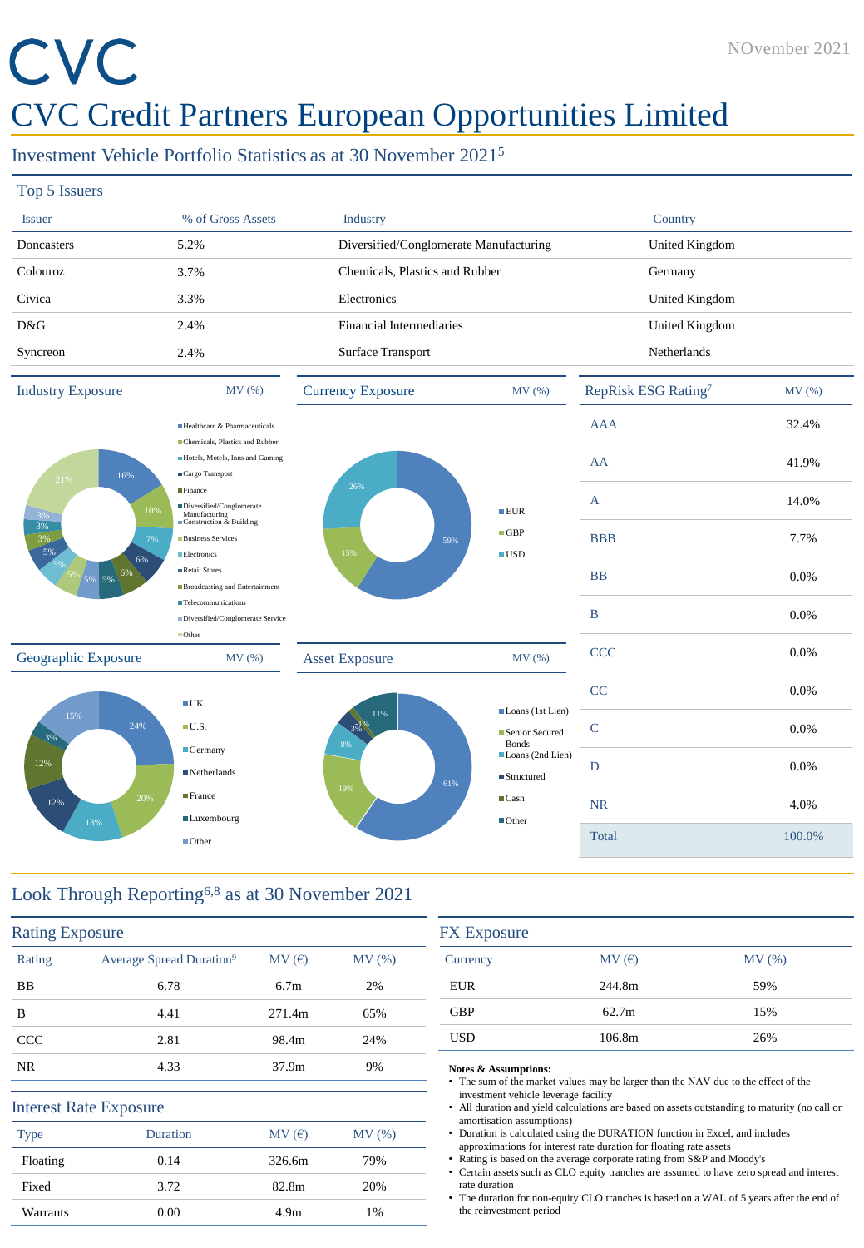# CVC

### CVC Credit Partners European Opportunities Limited

#### Investment Vehicle Portfolio Statistics as at 30 November 2021<sup>5</sup>

| Top 5 Issuers     |                   |                                        |                |
|-------------------|-------------------|----------------------------------------|----------------|
| <b>Issuer</b>     | % of Gross Assets | Industry                               | Country        |
| <b>Doncasters</b> | 5.2%              | Diversified/Conglomerate Manufacturing | United Kingdom |
| Colouroz          | 3.7%              | Chemicals, Plastics and Rubber         | Germany        |
| Civica            | 3.3%              | Electronics                            | United Kingdom |
| D&G               | 2.4%              | Financial Intermediaries               | United Kingdom |
| Syncreon          | 2.4%              | Surface Transport                      | Netherlands    |
|                   |                   |                                        |                |



#### Look Through Reporting6,8 as at 30 November 2021

| Rating      | Average Spread Duration <sup>9</sup> | MV(E)            | MV(%) |
|-------------|--------------------------------------|------------------|-------|
| <b>BB</b>   | 6.78                                 | 6.7 <sub>m</sub> | 2%    |
| B           | 4.41                                 | 271.4m           | 65%   |
| <b>CCC</b>  | 2.81                                 | 98.4m            | 24%   |
| NR.         | 4.33                                 | 37.9m            | 9%    |
|             | <b>Interest Rate Exposure</b>        |                  |       |
| <b>Type</b> | <b>Duration</b>                      | MV(E)            | MV(%) |
| Floating    | 0.14                                 | 326.6m           | 79%   |
| Fixed       | 3.72                                 | 82.8m            | 20%   |
| Warrants    | 0.00                                 | 4.9 <sub>m</sub> | 1%    |

| <b>FX</b> Exposure |        |       |  |  |
|--------------------|--------|-------|--|--|
| Currency           | MV(E)  | MV(%) |  |  |
| <b>EUR</b>         | 244.8m | 59%   |  |  |
| <b>GBP</b>         | 62.7m  | 15%   |  |  |
| <b>USD</b>         | 106.8m | 26%   |  |  |

#### **Notes & Assumptions:**

- The sum of the market values may be larger than the NAV due to the effect of the investment vehicle leverage facility
- All duration and yield calculations are based on assets outstanding to maturity (no call or amortisation assumptions)
- Duration is calculated using the DURATION function in Excel, and includes approximations for interest rate duration for floating rate assets
- Rating is based on the average corporate rating from S&P and Moody's
- Certain assets such as CLO equity tranches are assumed to have zero spread and interest rate duration
- The duration for non-equity CLO tranches is based on a WAL of 5 years after the end of the reinvestment period